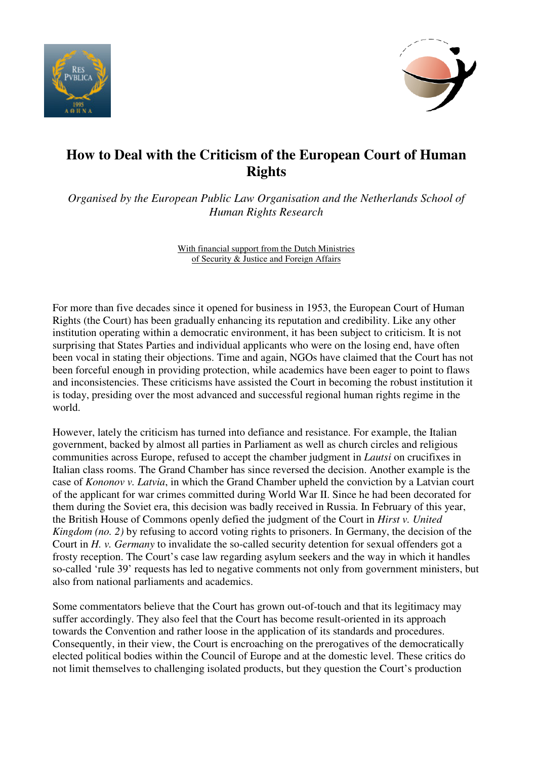



# **How to Deal with the Criticism of the European Court of Human Rights**

*Organised by the European Public Law Organisation and the Netherlands School of Human Rights Research* 

> With financial support from the Dutch Ministries of Security & Justice and Foreign Affairs

For more than five decades since it opened for business in 1953, the European Court of Human Rights (the Court) has been gradually enhancing its reputation and credibility. Like any other institution operating within a democratic environment, it has been subject to criticism. It is not surprising that States Parties and individual applicants who were on the losing end, have often been vocal in stating their objections. Time and again, NGOs have claimed that the Court has not been forceful enough in providing protection, while academics have been eager to point to flaws and inconsistencies. These criticisms have assisted the Court in becoming the robust institution it is today, presiding over the most advanced and successful regional human rights regime in the world.

However, lately the criticism has turned into defiance and resistance. For example, the Italian government, backed by almost all parties in Parliament as well as church circles and religious communities across Europe, refused to accept the chamber judgment in *Lautsi* on crucifixes in Italian class rooms. The Grand Chamber has since reversed the decision. Another example is the case of *Kononov v. Latvia*, in which the Grand Chamber upheld the conviction by a Latvian court of the applicant for war crimes committed during World War II. Since he had been decorated for them during the Soviet era, this decision was badly received in Russia. In February of this year, the British House of Commons openly defied the judgment of the Court in *Hirst v. United Kingdom (no. 2)* by refusing to accord voting rights to prisoners. In Germany, the decision of the Court in *H. v. Germany* to invalidate the so-called security detention for sexual offenders got a frosty reception. The Court's case law regarding asylum seekers and the way in which it handles so-called 'rule 39' requests has led to negative comments not only from government ministers, but also from national parliaments and academics.

Some commentators believe that the Court has grown out-of-touch and that its legitimacy may suffer accordingly. They also feel that the Court has become result-oriented in its approach towards the Convention and rather loose in the application of its standards and procedures. Consequently, in their view, the Court is encroaching on the prerogatives of the democratically elected political bodies within the Council of Europe and at the domestic level. These critics do not limit themselves to challenging isolated products, but they question the Court's production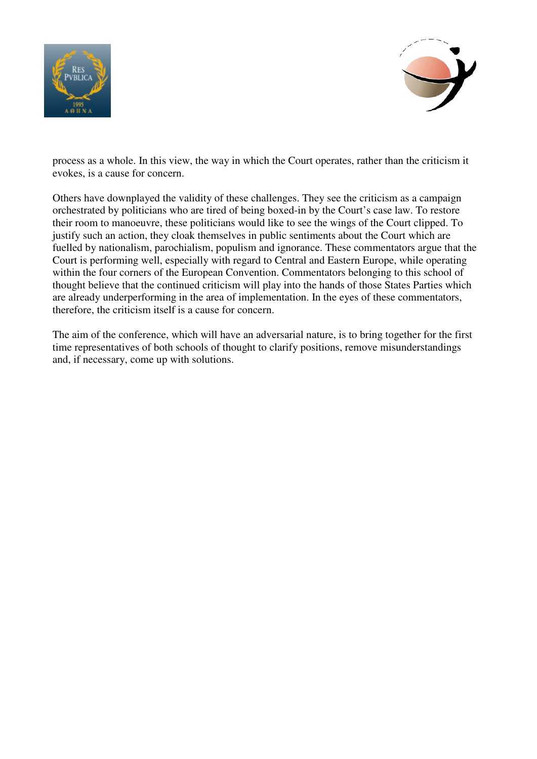



process as a whole. In this view, the way in which the Court operates, rather than the criticism it evokes, is a cause for concern.

Others have downplayed the validity of these challenges. They see the criticism as a campaign orchestrated by politicians who are tired of being boxed-in by the Court's case law. To restore their room to manoeuvre, these politicians would like to see the wings of the Court clipped. To justify such an action, they cloak themselves in public sentiments about the Court which are fuelled by nationalism, parochialism, populism and ignorance. These commentators argue that the Court is performing well, especially with regard to Central and Eastern Europe, while operating within the four corners of the European Convention. Commentators belonging to this school of thought believe that the continued criticism will play into the hands of those States Parties which are already underperforming in the area of implementation. In the eyes of these commentators, therefore, the criticism itself is a cause for concern.

The aim of the conference, which will have an adversarial nature, is to bring together for the first time representatives of both schools of thought to clarify positions, remove misunderstandings and, if necessary, come up with solutions.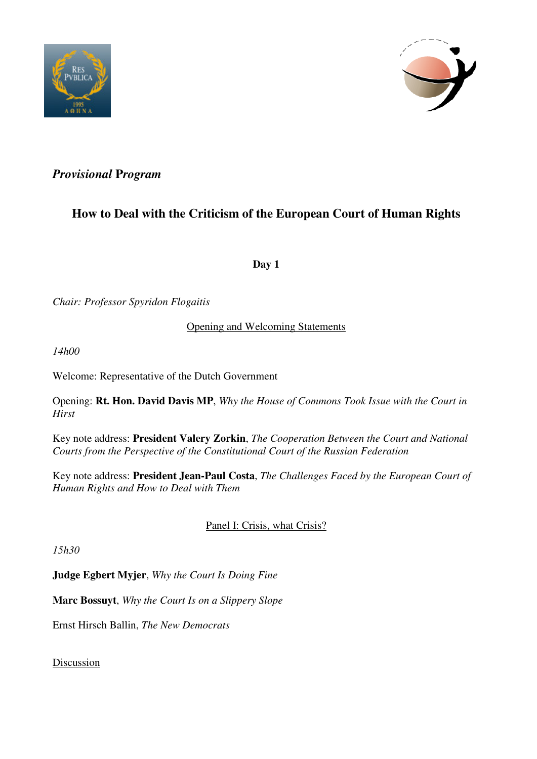



### *Provisional* **P***rogram*

## **How to Deal with the Criticism of the European Court of Human Rights**

**Day 1** 

*Chair: Professor Spyridon Flogaitis* 

Opening and Welcoming Statements

*14h00* 

Welcome: Representative of the Dutch Government

Opening: **Rt. Hon. David Davis MP**, *Why the House of Commons Took Issue with the Court in Hirst* 

Key note address: **President Valery Zorkin**, *The Cooperation Between the Court and National Courts from the Perspective of the Constitutional Court of the Russian Federation* 

Key note address: **President Jean-Paul Costa**, *The Challenges Faced by the European Court of Human Rights and How to Deal with Them* 

#### Panel I: Crisis, what Crisis?

*15h30* 

**Judge Egbert Myjer**, *Why the Court Is Doing Fine*

**Marc Bossuyt**, *Why the Court Is on a Slippery Slope* 

Ernst Hirsch Ballin, *The New Democrats* 

Discussion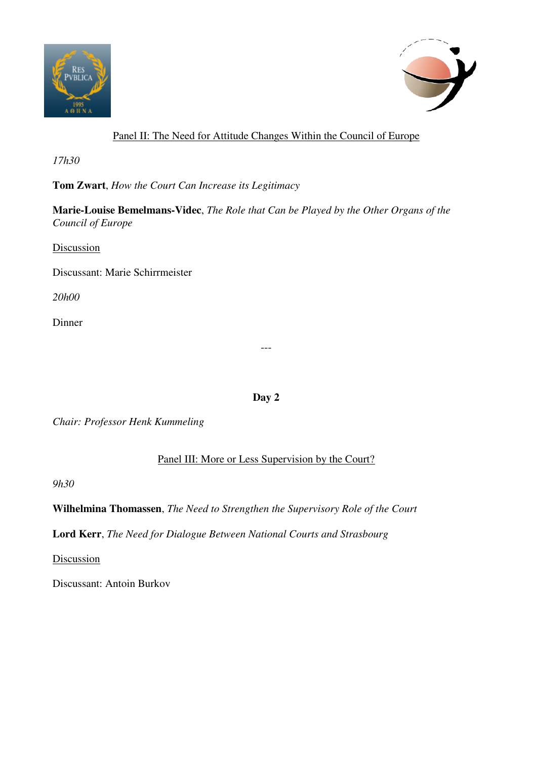



#### Panel II: The Need for Attitude Changes Within the Council of Europe

*17h30* 

**Tom Zwart**, *How the Court Can Increase its Legitimacy* 

**Marie-Louise Bemelmans-Videc**, *The Role that Can be Played by the Other Organs of the Council of Europe* 

Discussion

Discussant: Marie Schirrmeister

*20h00*

Dinner

**Day 2** 

---

*Chair: Professor Henk Kummeling* 

Panel III: More or Less Supervision by the Court?

*9h30* 

**Wilhelmina Thomassen**, *The Need to Strengthen the Supervisory Role of the Court*

**Lord Kerr**, *The Need for Dialogue Between National Courts and Strasbourg* 

**Discussion** 

Discussant: Antoin Burkov